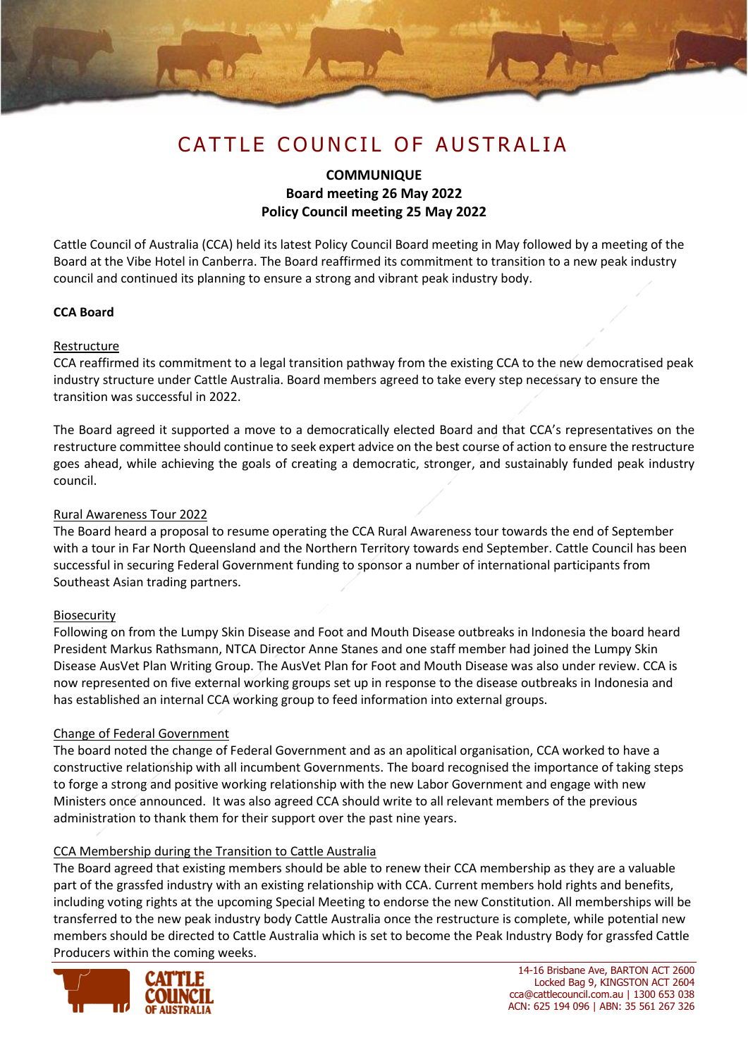

## **COMMUNIQUE Board meeting 26 May 2022 Policy Council meeting 25 May 2022**

Cattle Council of Australia (CCA) held its latest Policy Council Board meeting in May followed by a meeting of the Board at the Vibe Hotel in Canberra. The Board reaffirmed its commitment to transition to a new peak industry council and continued its planning to ensure a strong and vibrant peak industry body.

## **CCA Board**

## Restructure

CCA reaffirmed its commitment to a legal transition pathway from the existing CCA to the new democratised peak industry structure under Cattle Australia. Board members agreed to take every step necessary to ensure the transition was successful in 2022.

The Board agreed it supported a move to a democratically elected Board and that CCA's representatives on the restructure committee should continue to seek expert advice on the best course of action to ensure the restructure goes ahead, while achieving the goals of creating a democratic, stronger, and sustainably funded peak industry council.

#### Rural Awareness Tour 2022

The Board heard a proposal to resume operating the CCA Rural Awareness tour towards the end of September with a tour in Far North Queensland and the Northern Territory towards end September. Cattle Council has been successful in securing Federal Government funding to sponsor a number of international participants from Southeast Asian trading partners.

## Biosecurity

Following on from the Lumpy Skin Disease and Foot and Mouth Disease outbreaks in Indonesia the board heard President Markus Rathsmann, NTCA Director Anne Stanes and one staff member had joined the Lumpy Skin Disease AusVet Plan Writing Group. The AusVet Plan for Foot and Mouth Disease was also under review. CCA is now represented on five external working groups set up in response to the disease outbreaks in Indonesia and has established an internal CCA working group to feed information into external groups.

## Change of Federal Government

The board noted the change of Federal Government and as an apolitical organisation, CCA worked to have a constructive relationship with all incumbent Governments. The board recognised the importance of taking steps to forge a strong and positive working relationship with the new Labor Government and engage with new Ministers once announced. It was also agreed CCA should write to all relevant members of the previous administration to thank them for their support over the past nine years.

#### CCA Membership during the Transition to Cattle Australia

The Board agreed that existing members should be able to renew their CCA membership as they are a valuable part of the grassfed industry with an existing relationship with CCA. Current members hold rights and benefits, including voting rights at the upcoming Special Meeting to endorse the new Constitution. All memberships will be transferred to the new peak industry body Cattle Australia once the restructure is complete, while potential new members should be directed to Cattle Australia which is set to become the Peak Industry Body for grassfed Cattle Producers within the coming weeks.